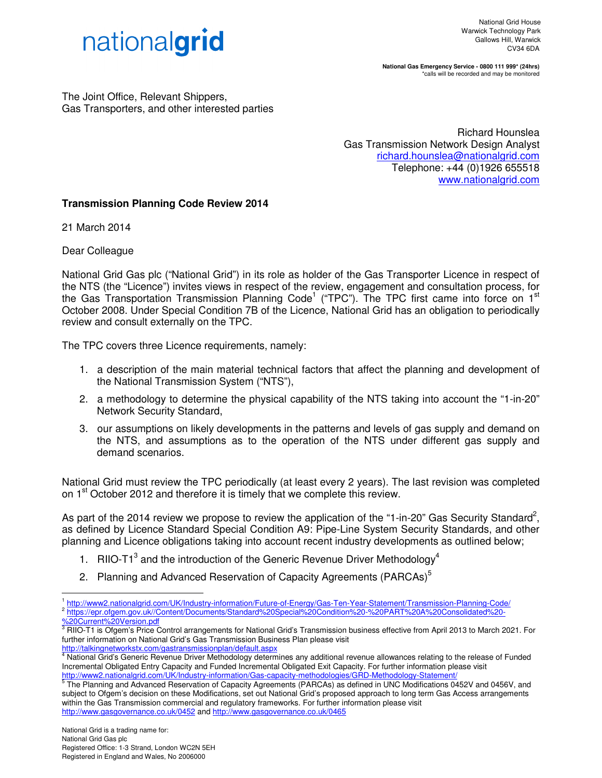

**National Gas Emergency Service - 0800 111 999\* (24hrs)**  \*calls will be recorded and may be monitored

The Joint Office, Relevant Shippers, Gas Transporters, and other interested parties

> Richard Hounslea Gas Transmission Network Design Analyst richard.hounslea@nationalgrid.com Telephone: +44 (0)1926 655518 www.nationalgrid.com

## **Transmission Planning Code Review 2014**

21 March 2014

Dear Colleague

National Grid Gas plc ("National Grid") in its role as holder of the Gas Transporter Licence in respect of the NTS (the "Licence") invites views in respect of the review, engagement and consultation process, for the Gas Transportation Transmission Planning Code<sup>1</sup> ("TPC"). The TPC first came into force on 1<sup>st</sup> October 2008. Under Special Condition 7B of the Licence, National Grid has an obligation to periodically review and consult externally on the TPC.

The TPC covers three Licence requirements, namely:

- 1. a description of the main material technical factors that affect the planning and development of the National Transmission System ("NTS"),
- 2. a methodology to determine the physical capability of the NTS taking into account the "1-in-20" Network Security Standard,
- 3. our assumptions on likely developments in the patterns and levels of gas supply and demand on the NTS, and assumptions as to the operation of the NTS under different gas supply and demand scenarios.

National Grid must review the TPC periodically (at least every 2 years). The last revision was completed on 1<sup>st</sup> October 2012 and therefore it is timely that we complete this review.

As part of the 2014 review we propose to review the application of the "1-in-20" Gas Security Standard<sup>2</sup>, as defined by Licence Standard Special Condition A9: Pipe-Line System Security Standards, and other planning and Licence obligations taking into account recent industry developments as outlined below;

- 1. RIIO-T1 $3$  and the introduction of the Generic Revenue Driver Methodology<sup>4</sup>
- 2. Planning and Advanced Reservation of Capacity Agreements (PARCAs)<sup>5</sup>

1 http://www2.nationalgrid.com/UK/Industry-information/Future-of-Energy/Gas-Ten-Year-Statement/Transmission-Planning-Code/ 2 https://epr.ofgem.gov.uk//Content/Documents/Standard%20Special%20Condition%20-%20PART%20A%20Consolidated%20-

 $\overline{a}$ 

http://talkingnetworkstx.com/gastransmissionplan/default.aspx

<sup>%20</sup>Current%20Version.pdf

<sup>&</sup>lt;sup>3</sup> RIIO-T1 is Ofgem's Price Control arrangements for National Grid's Transmission business effective from April 2013 to March 2021. For further information on National Grid's Gas Transmission Business Plan please visit

<sup>4</sup> National Grid's Generic Revenue Driver Methodology determines any additional revenue allowances relating to the release of Funded Incremental Obligated Entry Capacity and Funded Incremental Obligated Exit Capacity. For further information please visit http://www2.nationalgrid.com/UK/Industry-information/Gas-capacity-methodologies/GRD-Methodology-Statement/<br>5 The Plenning and Advanced Pesenyotion of Conceity Assocmante (BAPCAe) as defined in UNC Medifications 04

The Planning and Advanced Reservation of Capacity Agreements (PARCAs) as defined in UNC Modifications 0452V and 0456V, and subject to Ofgem's decision on these Modifications, set out National Grid's proposed approach to long term Gas Access arrangements within the Gas Transmission commercial and regulatory frameworks. For further information please visit http://www.gasgovernance.co.uk/0452 and http://www.gasgovernance.co.uk/0465